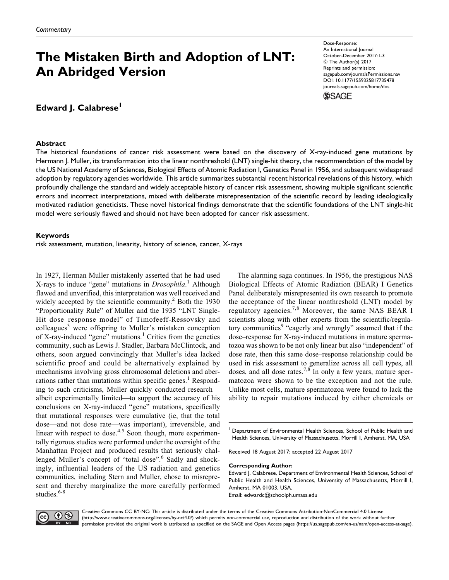# The Mistaken Birth and Adoption of LNT: An Abridged Version

Edward J. Calabrese<sup>1</sup>

## Abstract

Dose-Response: An International Journal October-December 2017:1-3 © The Author(s) 2017 Reprints and permission: [sagepub.com/journalsPermissions.nav](https://us.sagepub.com/en-us/journals-permissions) [DOI: 10.1177/1559325817735478](https://doi.org/10.1177/1559325817735478) [journals.sagepub.com/home/dos](http://journals.sagepub.com/home/dos)



The historical foundations of cancer risk assessment were based on the discovery of X-ray-induced gene mutations by Hermann J. Muller, its transformation into the linear nonthreshold (LNT) single-hit theory, the recommendation of the model by the US National Academy of Sciences, Biological Effects of Atomic Radiation I, Genetics Panel in 1956, and subsequent widespread adoption by regulatory agencies worldwide. This article summarizes substantial recent historical revelations of this history, which profoundly challenge the standard and widely acceptable history of cancer risk assessment, showing multiple significant scientific errors and incorrect interpretations, mixed with deliberate misrepresentation of the scientific record by leading ideologically motivated radiation geneticists. These novel historical findings demonstrate that the scientific foundations of the LNT single-hit model were seriously flawed and should not have been adopted for cancer risk assessment.

# Keywords

risk assessment, mutation, linearity, history of science, cancer, X-rays

In 1927, Herman Muller mistakenly asserted that he had used X-rays to induce "gene" mutations in *Drosophila*.<sup>1</sup> Although flawed and unverified, this interpretation was well received and widely accepted by the scientific community.<sup>2</sup> Both the 1930 "Proportionality Rule" of Muller and the 1935 "LNT Single-Hit dose–response model" of Timofeeff-Ressovsky and  $\text{colleagues}^3$  were offspring to Muller's mistaken conception of X-ray-induced "gene" mutations.<sup>1</sup> Critics from the genetics community, such as Lewis J. Stadler, Barbara McClintock, and others, soon argued convincingly that Muller's idea lacked scientific proof and could be alternatively explained by mechanisms involving gross chromosomal deletions and aberrations rather than mutations within specific genes.<sup>1</sup> Responding to such criticisms, Muller quickly conducted research albeit experimentally limited—to support the accuracy of his conclusions on X-ray-induced "gene" mutations, specifically that mutational responses were cumulative (ie, that the total dose—and not dose rate—was important), irreversible, and linear with respect to dose. $4.5$  Soon though, more experimentally rigorous studies were performed under the oversight of the Manhattan Project and produced results that seriously challenged Muller's concept of "total dose".<sup>6</sup> Sadly and shockingly, influential leaders of the US radiation and genetics communities, including Stern and Muller, chose to misrepresent and thereby marginalize the more carefully performed studies.<sup>6-8</sup>

The alarming saga continues. In 1956, the prestigious NAS Biological Effects of Atomic Radiation (BEAR) I Genetics Panel deliberately misrepresented its own research to promote the acceptance of the linear nonthreshold (LNT) model by regulatory agencies.<sup>7,8</sup> Moreover, the same NAS BEAR I scientists along with other experts from the scientific/regulatory communities<sup>9</sup> "eagerly and wrongly" assumed that if the dose–response for X-ray-induced mutations in mature spermatozoa was shown to be not only linear but also "independent" of dose rate, then this same dose–response relationship could be used in risk assessment to generalize across all cell types, all doses, and all dose rates.<sup>7,8</sup> In only a few years, mature spermatozoa were shown to be the exception and not the rule. Unlike most cells, mature spermatozoa were found to lack the ability to repair mutations induced by either chemicals or

Department of Environmental Health Sciences, School of Public Health and Health Sciences, University of Massachusetts, Morrill I, Amherst, MA, USA

Received 18 August 2017; accepted 22 August 2017

#### Corresponding Author:

Edward J. Calabrese, Department of Environmental Health Sciences, School of Public Health and Health Sciences, University of Massachusetts, Morrill I, Amherst, MA 01003, USA. Email: [edwardc@schoolph.umass.edu](mailto:edwardc@schoolph.umass.edu)



Creative Commons CC BY-NC: This article is distributed under the terms of the Creative Commons Attribution-NonCommercial 4.0 License (http://www.creativecommons.org/licenses/by-nc/4.0/) which permits non-commercial use, reproduction and distribution of the work without further permission provided the original work is attributed as specified on the SAGE and Open Access pages (https://us.sagepub.com/en-us/nam/open-access-at-sage).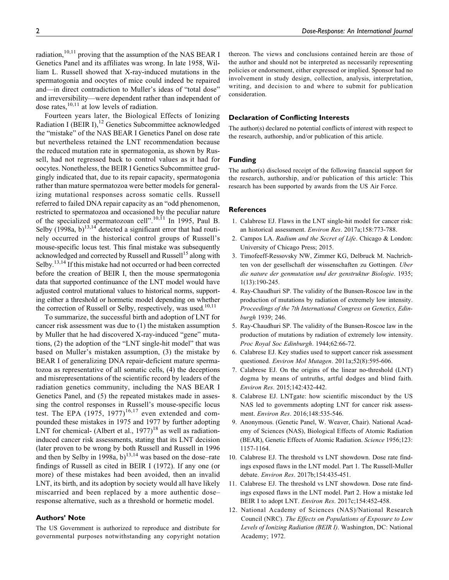radiation, $10,11$  proving that the assumption of the NAS BEAR I Genetics Panel and its affiliates was wrong. In late 1958, William L. Russell showed that X-ray-induced mutations in the spermatogonia and oocytes of mice could indeed be repaired and—in direct contradiction to Muller's ideas of "total dose" and irreversibility—were dependent rather than independent of dose rates, $10,11$  at low levels of radiation.

Fourteen years later, the Biological Effects of Ionizing Radiation I (BEIR I), $^{12}$  Genetics Subcommittee acknowledged the "mistake" of the NAS BEAR I Genetics Panel on dose rate but nevertheless retained the LNT recommendation because the reduced mutation rate in spermatogonia, as shown by Russell, had not regressed back to control values as it had for oocytes. Nonetheless, the BEIR I Genetics Subcommittee grudgingly indicated that, due to its repair capacity, spermatogonia rather than mature spermatozoa were better models for generalizing mutational responses across somatic cells. Russell referred to failed DNA repair capacity as an "odd phenomenon, restricted to spermatozoa and occasioned by the peculiar nature of the specialized spermatozoan cell".10,11 In 1995, Paul B. Selby  $(1998a, b)^{13,14}$  detected a significant error that had routinely occurred in the historical control groups of Russell's mouse-specific locus test. This final mistake was subsequently acknowledged and corrected by Russell and Russell<sup>15</sup> along with Selby.<sup>13,14</sup> If this mistake had not occurred or had been corrected before the creation of BEIR I, then the mouse spermatogonia data that supported continuance of the LNT model would have adjusted control mutational values to historical norms, supporting either a threshold or hormetic model depending on whether the correction of Russell or Selby, respectively, was used. $10,11$ 

To summarize, the successful birth and adoption of LNT for cancer risk assessment was due to (1) the mistaken assumption by Muller that he had discovered X-ray-induced "gene" mutations, (2) the adoption of the "LNT single-hit model" that was based on Muller's mistaken assumption, (3) the mistake by BEAR I of generalizing DNA repair-deficient mature spermatozoa as representative of all somatic cells, (4) the deceptions and misrepresentations of the scientific record by leaders of the radiation genetics community, including the NAS BEAR I Genetics Panel, and (5) the repeated mistakes made in assessing the control responses in Russell's mouse-specific locus test. The EPA  $(1975, 1977)^{16,17}$  even extended and compounded these mistakes in 1975 and 1977 by further adopting LNT for chemical- (Albert et al.,  $1977$ )<sup>18</sup> as well as radiationinduced cancer risk assessments, stating that its LNT decision (later proven to be wrong by both Russell and Russell in 1996 and then by Selby in 1998a,  $b$ <sup>13,14</sup> was based on the dose–rate findings of Russell as cited in BEIR I (1972). If any one (or more) of these mistakes had been avoided, then an invalid LNT, its birth, and its adoption by society would all have likely miscarried and been replaced by a more authentic dose– response alternative, such as a threshold or hormetic model.

## Authors' Note

The US Government is authorized to reproduce and distribute for governmental purposes notwithstanding any copyright notation thereon. The views and conclusions contained herein are those of the author and should not be interpreted as necessarily representing policies or endorsement, either expressed or implied. Sponsor had no involvement in study design, collection, analysis, interpretation, writing, and decision to and where to submit for publication consideration.

## Declaration of Conflicting Interests

The author(s) declared no potential conflicts of interest with respect to the research, authorship, and/or publication of this article.

## Funding

The author(s) disclosed receipt of the following financial support for the research, authorship, and/or publication of this article: This research has been supported by awards from the US Air Force.

#### References

- 1. Calabrese EJ. Flaws in the LNT single-hit model for cancer risk: an historical assessment. Environ Res. 2017a;158:773-788.
- 2. Campos LA. Radium and the Secret of Life. Chicago & London: University of Chicago Press; 2015.
- 3. Timofeeff-Ressovsky NW, Zimmer KG, Delbruck M. Nachrichten von der gesellschaft der wissenschaften zu Gottingen. Uber die nature der genmutation und der genstruktur Biologie. 1935; 1(13):190-245.
- 4. Ray-Chaudhuri SP. The validity of the Bunsen-Roscoe law in the production of mutations by radiation of extremely low intensity. Proceedings of the 7th International Congress on Genetics, Edinburgh 1939; 246.
- 5. Ray-Chaudhuri SP. The validity of the Bunsen-Roscoe law in the production of mutations by radiation of extremely low intensity. Proc Royal Soc Edinburgh. 1944;62:66-72.
- 6. Calabrese EJ. Key studies used to support cancer risk assessment questioned. Environ Mol Mutagen. 2011a;52(8):595-606.
- 7. Calabrese EJ. On the origins of the linear no-threshold (LNT) dogma by means of untruths, artful dodges and blind faith. Environ Res. 2015;142:432-442.
- 8. Calabrese EJ. LNTgate: how scientific misconduct by the US NAS led to governments adopting LNT for cancer risk assessment. Environ Res. 2016;148:535-546.
- 9. Anonymous. (Genetic Panel, W. Weaver, Chair). National Academy of Sciences (NAS), Biological Effects of Atomic Radiation (BEAR), Genetic Effects of Atomic Radiation. Science 1956;123: 1157-1164.
- 10. Calabrese EJ. The threshold vs LNT showdown. Dose rate findings exposed flaws in the LNT model. Part 1. The Russell-Muller debate. Environ Res. 2017b;154:435-451.
- 11. Calabrese EJ. The threshold vs LNT showdown. Dose rate findings exposed flaws in the LNT model. Part 2. How a mistake led BEIR I to adopt LNT. Environ Res. 2017c;154:452-458.
- 12. National Academy of Sciences (NAS)/National Research Council (NRC). The Effects on Populations of Exposure to Low Levels of Ionizing Radiation (BEIR I). Washington, DC: National Academy; 1972.